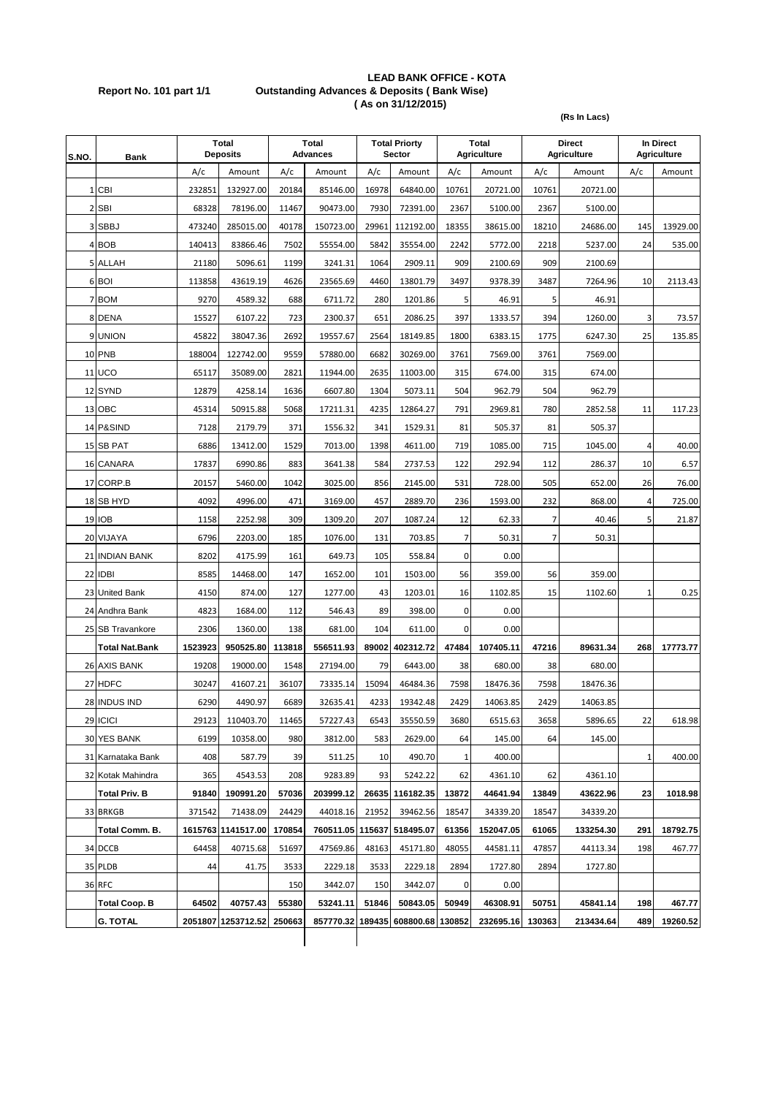## **LEAD BANK OFFICE - KOTA Report No. 101 part 1/1 Outstanding Advances & Deposits ( Bank Wise) ( As on 31/12/2015)**

**(Rs In Lacs)**

| S.NO. | Bank                  | Total<br><b>Deposits</b> |                    | <b>Total</b><br><b>Advances</b> |           | <b>Total Priorty</b><br>Sector |                                   | Total<br><b>Agriculture</b> |           | <b>Direct</b><br><b>Agriculture</b> |           | In Direct<br><b>Agriculture</b> |          |
|-------|-----------------------|--------------------------|--------------------|---------------------------------|-----------|--------------------------------|-----------------------------------|-----------------------------|-----------|-------------------------------------|-----------|---------------------------------|----------|
|       |                       | A/c                      | Amount             | A/c                             | Amount    | A/c                            | Amount                            | A/c                         | Amount    | A/c                                 | Amount    | A/c                             | Amount   |
|       | 1 CBI                 | 232851                   | 132927.00          | 20184                           | 85146.00  | 16978                          | 64840.00                          | 10761                       | 20721.00  | 10761                               | 20721.00  |                                 |          |
|       | 2 SBI                 | 68328                    | 78196.00           | 11467                           | 90473.00  | 7930                           | 72391.00                          | 2367                        | 5100.00   | 2367                                | 5100.00   |                                 |          |
|       | 3 SBBJ                | 473240                   | 285015.00          | 40178                           | 150723.00 | 29961                          | 112192.00                         | 18355                       | 38615.00  | 18210                               | 24686.00  | 145                             | 13929.00 |
|       | 4 BOB                 | 140413                   | 83866.46           | 7502                            | 55554.00  | 5842                           | 35554.00                          | 2242                        | 5772.00   | 2218                                | 5237.00   | 24                              | 535.00   |
|       | 5 ALLAH               | 21180                    | 5096.61            | 1199                            | 3241.31   | 1064                           | 2909.11                           | 909                         | 2100.69   | 909                                 | 2100.69   |                                 |          |
|       | 6 BOI                 | 113858                   | 43619.19           | 4626                            | 23565.69  | 4460                           | 13801.79                          | 3497                        | 9378.39   | 3487                                | 7264.96   | 10                              | 2113.43  |
|       | 7 BOM                 | 9270                     | 4589.32            | 688                             | 6711.72   | 280                            | 1201.86                           | 5                           | 46.91     | 5                                   | 46.91     |                                 |          |
|       | 8 DENA                | 15527                    | 6107.22            | 723                             | 2300.37   | 651                            | 2086.25                           | 397                         | 1333.57   | 394                                 | 1260.00   | 3                               | 73.57    |
|       | 9 UNION               | 45822                    | 38047.36           | 2692                            | 19557.67  | 2564                           | 18149.85                          | 1800                        | 6383.15   | 1775                                | 6247.30   | 25                              | 135.85   |
|       | <b>10 PNB</b>         | 188004                   | 122742.00          | 9559                            | 57880.00  | 6682                           | 30269.00                          | 3761                        | 7569.00   | 3761                                | 7569.00   |                                 |          |
|       | <b>11 UCO</b>         | 65117                    | 35089.00           | 2821                            | 11944.00  | 2635                           | 11003.00                          | 315                         | 674.00    | 315                                 | 674.00    |                                 |          |
|       | 12 SYND               | 12879                    | 4258.14            | 1636                            | 6607.80   | 1304                           | 5073.11                           | 504                         | 962.79    | 504                                 | 962.79    |                                 |          |
|       | 13 OBC                | 45314                    | 50915.88           | 5068                            | 17211.31  | 4235                           | 12864.27                          | 791                         | 2969.81   | 780                                 | 2852.58   | 11                              | 117.23   |
|       | 14 P&SIND             | 7128                     | 2179.79            | 371                             | 1556.32   | 341                            | 1529.31                           | 81                          | 505.37    | 81                                  | 505.37    |                                 |          |
|       | 15 SB PAT             | 6886                     | 13412.00           | 1529                            | 7013.00   | 1398                           | 4611.00                           | 719                         | 1085.00   | 715                                 | 1045.00   | 4                               | 40.00    |
|       | 16 CANARA             | 17837                    | 6990.86            | 883                             | 3641.38   | 584                            | 2737.53                           | 122                         | 292.94    | 112                                 | 286.37    | 10                              | 6.57     |
|       | 17 CORP.B             | 20157                    | 5460.00            | 1042                            | 3025.00   | 856                            | 2145.00                           | 531                         | 728.00    | 505                                 | 652.00    | 26                              | 76.00    |
|       | 18 SB HYD             | 4092                     | 4996.00            | 471                             | 3169.00   | 457                            | 2889.70                           | 236                         | 1593.00   | 232                                 | 868.00    | $\overline{4}$                  | 725.00   |
|       | 19 IOB                | 1158                     | 2252.98            | 309                             | 1309.20   | 207                            | 1087.24                           | 12                          | 62.33     | 7                                   | 40.46     | 5                               | 21.87    |
|       | 20 VIJAYA             | 6796                     | 2203.00            | 185                             | 1076.00   | 131                            | 703.85                            | 7                           | 50.31     | $\overline{7}$                      | 50.31     |                                 |          |
|       | 21 INDIAN BANK        | 8202                     | 4175.99            | 161                             | 649.73    | 105                            | 558.84                            | 0                           | 0.00      |                                     |           |                                 |          |
|       | 22 IDBI               | 8585                     | 14468.00           | 147                             | 1652.00   | 101                            | 1503.00                           | 56                          | 359.00    | 56                                  | 359.00    |                                 |          |
|       | 23 United Bank        | 4150                     | 874.00             | 127                             | 1277.00   | 43                             | 1203.01                           | 16                          | 1102.85   | 15                                  | 1102.60   | 1                               | 0.25     |
|       | 24 Andhra Bank        | 4823                     | 1684.00            | 112                             | 546.43    | 89                             | 398.00                            | 0                           | 0.00      |                                     |           |                                 |          |
|       | 25 SB Travankore      | 2306                     | 1360.00            | 138                             | 681.00    | 104                            | 611.00                            | 0                           | 0.00      |                                     |           |                                 |          |
|       | <b>Total Nat.Bank</b> | 1523923                  | 950525.80          | 113818                          | 556511.93 | 89002                          | 402312.72                         | 47484                       | 107405.11 | 47216                               | 89631.34  | 268                             | 17773.77 |
|       | 26 AXIS BANK          | 19208                    | 19000.00           | 1548                            | 27194.00  | 79                             | 6443.00                           | 38                          | 680.00    | 38                                  | 680.00    |                                 |          |
|       | 27 HDFC               | 30247                    | 41607.21           | 36107                           | 73335.14  | 15094                          | 46484.36                          | 7598                        | 18476.36  | 7598                                | 18476.36  |                                 |          |
|       | 28 INDUS IND          | 6290                     | 4490.97            | 6689                            | 32635.41  | 4233                           | 19342.48                          | 2429                        | 14063.85  | 2429                                | 14063.85  |                                 |          |
|       | 29 ICICI              | 29123                    | 110403.70          | 11465                           | 57227.43  | 6543                           | 35550.59                          | 3680                        | 6515.63   | 3658                                | 5896.65   | 22                              | 618.98   |
|       | 30 YES BANK           | 6199                     | 10358.00           | 980                             | 3812.00   | 583                            | 2629.00                           | 64                          | 145.00    | 64                                  | 145.00    |                                 |          |
|       | 31 Karnataka Bank     | 408                      | 587.79             | 39                              | 511.25    | 10                             | 490.70                            | 1                           | 400.00    |                                     |           | 1                               | 400.00   |
|       | 32 Kotak Mahindra     | 365                      | 4543.53            | 208                             | 9283.89   | 93                             | 5242.22                           | 62                          | 4361.10   | 62                                  | 4361.10   |                                 |          |
|       | <b>Total Priv. B</b>  | 91840                    | 190991.20          | 57036                           | 203999.12 |                                | 26635 116182.35                   | 13872                       | 44641.94  | 13849                               | 43622.96  | 23                              | 1018.98  |
|       | 33 BRKGB              | 371542                   | 71438.09           | 24429                           | 44018.16  | 21952                          | 39462.56                          | 18547                       | 34339.20  | 18547                               | 34339.20  |                                 |          |
|       | Total Comm. B.        |                          | 1615763 1141517.00 | 170854                          | 760511.05 | 115637                         | 518495.07                         | 61356                       | 152047.05 | 61065                               | 133254.30 | 291                             | 18792.75 |
|       | 34 DCCB               | 64458                    | 40715.68           | 51697                           | 47569.86  | 48163                          | 45171.80                          | 48055                       | 44581.11  | 47857                               | 44113.34  | 198                             | 467.77   |
|       | 35 PLDB               | 44                       | 41.75              | 3533                            | 2229.18   | 3533                           | 2229.18                           | 2894                        | 1727.80   | 2894                                | 1727.80   |                                 |          |
|       | 36 RFC                |                          |                    | 150                             | 3442.07   | 150                            | 3442.07                           | 0                           | 0.00      |                                     |           |                                 |          |
|       | <b>Total Coop. B</b>  | 64502                    | 40757.43           | 55380                           | 53241.11  | 51846                          | 50843.05                          | 50949                       | 46308.91  | 50751                               | 45841.14  | 198                             | 467.77   |
|       | <b>G. TOTAL</b>       |                          | 2051807 1253712.52 | 250663                          |           |                                | 857770.32 189435 608800.68 130852 |                             | 232695.16 | 130363                              | 213434.64 | 489                             | 19260.52 |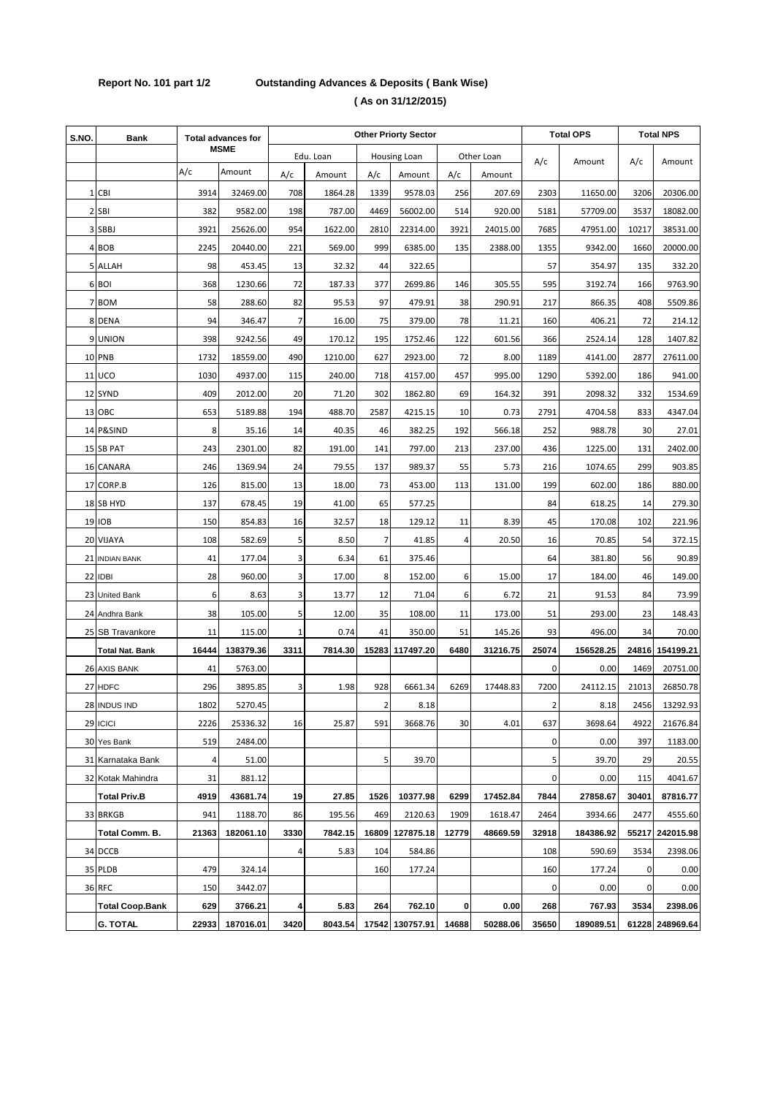## **Report No. 101 part 1/2 Outstanding Advances & Deposits ( Bank Wise) ( As on 31/12/2015)**

| S.NO. | <b>Bank</b>            | <b>Total advances for</b> |           | <b>Other Priorty Sector</b> |           |                |                     |                |            | <b>Total OPS</b> |           | <b>Total NPS</b> |                 |
|-------|------------------------|---------------------------|-----------|-----------------------------|-----------|----------------|---------------------|----------------|------------|------------------|-----------|------------------|-----------------|
|       |                        | <b>MSME</b>               |           |                             | Edu. Loan |                | <b>Housing Loan</b> |                | Other Loan |                  | Amount    |                  |                 |
|       |                        | A/c                       | Amount    | A/c                         | Amount    | A/c            | Amount              | A/c            | Amount     | A/c              |           | A/c              | Amount          |
|       | 1 CBI                  | 3914                      | 32469.00  | 708                         | 1864.28   | 1339           | 9578.03             | 256            | 207.69     | 2303             | 11650.00  | 3206             | 20306.00        |
|       | 2 SBI                  | 382                       | 9582.00   | 198                         | 787.00    | 4469           | 56002.00            | 514            | 920.00     | 5181             | 57709.00  | 3537             | 18082.00        |
|       | 3 SBBJ                 | 3921                      | 25626.00  | 954                         | 1622.00   | 2810           | 22314.00            | 3921           | 24015.00   | 7685             | 47951.00  | 10217            | 38531.00        |
|       | 4 BOB                  | 2245                      | 20440.00  | 221                         | 569.00    | 999            | 6385.00             | 135            | 2388.00    | 1355             | 9342.00   | 1660             | 20000.00        |
|       | 5 ALLAH                | 98                        | 453.45    | 13                          | 32.32     | 44             | 322.65              |                |            | 57               | 354.97    | 135              | 332.20          |
|       | 6 BOI                  | 368                       | 1230.66   | 72                          | 187.33    | 377            | 2699.86             | 146            | 305.55     | 595              | 3192.74   | 166              | 9763.90         |
|       | 7 BOM                  | 58                        | 288.60    | 82                          | 95.53     | 97             | 479.91              | 38             | 290.91     | 217              | 866.35    | 408              | 5509.86         |
|       | 8 DENA                 | 94                        | 346.47    | 7                           | 16.00     | 75             | 379.00              | 78             | 11.21      | 160              | 406.21    | 72               | 214.12          |
|       | 9 UNION                | 398                       | 9242.56   | 49                          | 170.12    | 195            | 1752.46             | 122            | 601.56     | 366              | 2524.14   | 128              | 1407.82         |
|       | 10 PNB                 | 1732                      | 18559.00  | 490                         | 1210.00   | 627            | 2923.00             | 72             | 8.00       | 1189             | 4141.00   | 2877             | 27611.00        |
|       | 11 UCO                 | 1030                      | 4937.00   | 115                         | 240.00    | 718            | 4157.00             | 457            | 995.00     | 1290             | 5392.00   | 186              | 941.00          |
|       | 12 SYND                | 409                       | 2012.00   | 20                          | 71.20     | 302            | 1862.80             | 69             | 164.32     | 391              | 2098.32   | 332              | 1534.69         |
|       | 13 OBC                 | 653                       | 5189.88   | 194                         | 488.70    | 2587           | 4215.15             | 10             | 0.73       | 2791             | 4704.58   | 833              | 4347.04         |
|       | 14 P&SIND              | 8                         | 35.16     | 14                          | 40.35     | 46             | 382.25              | 192            | 566.18     | 252              | 988.78    | 30               | 27.01           |
|       | 15 SB PAT              | 243                       | 2301.00   | 82                          | 191.00    | 141            | 797.00              | 213            | 237.00     | 436              | 1225.00   | 131              | 2402.00         |
|       | 16 CANARA              | 246                       | 1369.94   | 24                          | 79.55     | 137            | 989.37              | 55             | 5.73       | 216              | 1074.65   | 299              | 903.85          |
| 17    | CORP.B                 | 126                       | 815.00    | 13                          | 18.00     | 73             | 453.00              | 113            | 131.00     | 199              | 602.00    | 186              | 880.00          |
|       | 18 SB HYD              | 137                       | 678.45    | 19                          | 41.00     | 65             | 577.25              |                |            | 84               | 618.25    | 14               | 279.30          |
|       | <b>19 IOB</b>          | 150                       | 854.83    | 16                          | 32.57     | 18             | 129.12              | 11             | 8.39       | 45               | 170.08    | 102              | 221.96          |
|       | 20 VIJAYA              | 108                       | 582.69    | 5                           | 8.50      | $\overline{7}$ | 41.85               | $\overline{4}$ | 20.50      | 16               | 70.85     | 54               | 372.15          |
|       | 21 INDIAN BANK         | 41                        | 177.04    | 3                           | 6.34      | 61             | 375.46              |                |            | 64               | 381.80    | 56               | 90.89           |
|       | 22 IDBI                | 28                        | 960.00    | 3                           | 17.00     | 8              | 152.00              | 6              | 15.00      | 17               | 184.00    | 46               | 149.00          |
| 23    | <b>United Bank</b>     | 6                         | 8.63      | 3                           | 13.77     | 12             | 71.04               | 6              | 6.72       | 21               | 91.53     | 84               | 73.99           |
|       | 24 Andhra Bank         | 38                        | 105.00    | 5                           | 12.00     | 35             | 108.00              | 11             | 173.00     | 51               | 293.00    | 23               | 148.43          |
|       | 25 SB Travankore       | 11                        | 115.00    | 1                           | 0.74      | 41             | 350.00              | 51             | 145.26     | 93               | 496.00    | 34               | 70.00           |
|       | <b>Total Nat. Bank</b> | 16444                     | 138379.36 | 3311                        | 7814.30   | 15283          | 117497.20           | 6480           | 31216.75   | 25074            | 156528.25 | 24816            | 154199.21       |
|       | 26 AXIS BANK           | 41                        | 5763.00   |                             |           |                |                     |                |            | $\mathbf 0$      | 0.00      | 1469             | 20751.00        |
|       | 27 HDFC                | 296                       | 3895.85   | 3                           | 1.98      | 928            | 6661.34             | 6269           | 17448.83   | 7200             | 24112.15  | 21013            | 26850.78        |
|       | 28 INDUS IND           | 1802                      | 5270.45   |                             |           | $\overline{2}$ | 8.18                |                |            | 2                | 8.18      | 2456             | 13292.93        |
|       | 29 ICICI               | 2226                      | 25336.32  | 16                          | 25.87     | 591            | 3668.76             | 30             | 4.01       | 637              | 3698.64   | 4922             | 21676.84        |
|       | 30 Yes Bank            | 519                       | 2484.00   |                             |           |                |                     |                |            | 0                | 0.00      | 397              | 1183.00         |
|       | 31 Karnataka Bank      | 4                         | 51.00     |                             |           | 5              | 39.70               |                |            | 5                | 39.70     | 29               | 20.55           |
|       | 32 Kotak Mahindra      | 31                        | 881.12    |                             |           |                |                     |                |            | 0                | 0.00      | 115              | 4041.67         |
|       | <b>Total Priv.B</b>    | 4919                      | 43681.74  | 19                          | 27.85     | 1526           | 10377.98            | 6299           | 17452.84   | 7844             | 27858.67  | 30401            | 87816.77        |
|       | 33 BRKGB               | 941                       | 1188.70   | 86                          | 195.56    | 469            | 2120.63             | 1909           | 1618.47    | 2464             | 3934.66   | 2477             | 4555.60         |
|       | Total Comm. B.         | 21363                     | 182061.10 | 3330                        | 7842.15   | 16809          | 127875.18           | 12779          | 48669.59   | 32918            | 184386.92 |                  | 55217 242015.98 |
|       | 34 DCCB                |                           |           | 4                           | 5.83      | 104            | 584.86              |                |            | 108              | 590.69    | 3534             | 2398.06         |
|       | 35 PLDB                | 479                       | 324.14    |                             |           | 160            | 177.24              |                |            | 160              | 177.24    | 0                | 0.00            |
|       | 36 RFC                 | 150                       | 3442.07   |                             |           |                |                     |                |            | $\mathbf 0$      | 0.00      | 0                | 0.00            |
|       | <b>Total Coop.Bank</b> | 629                       | 3766.21   | 4                           | 5.83      | 264            | 762.10              | $\mathbf{0}$   | 0.00       | 268              | 767.93    | 3534             | 2398.06         |
|       | <b>G. TOTAL</b>        | 22933                     | 187016.01 | 3420                        | 8043.54   |                | 17542 130757.91     | 14688          | 50288.06   | 35650            | 189089.51 |                  | 61228 248969.64 |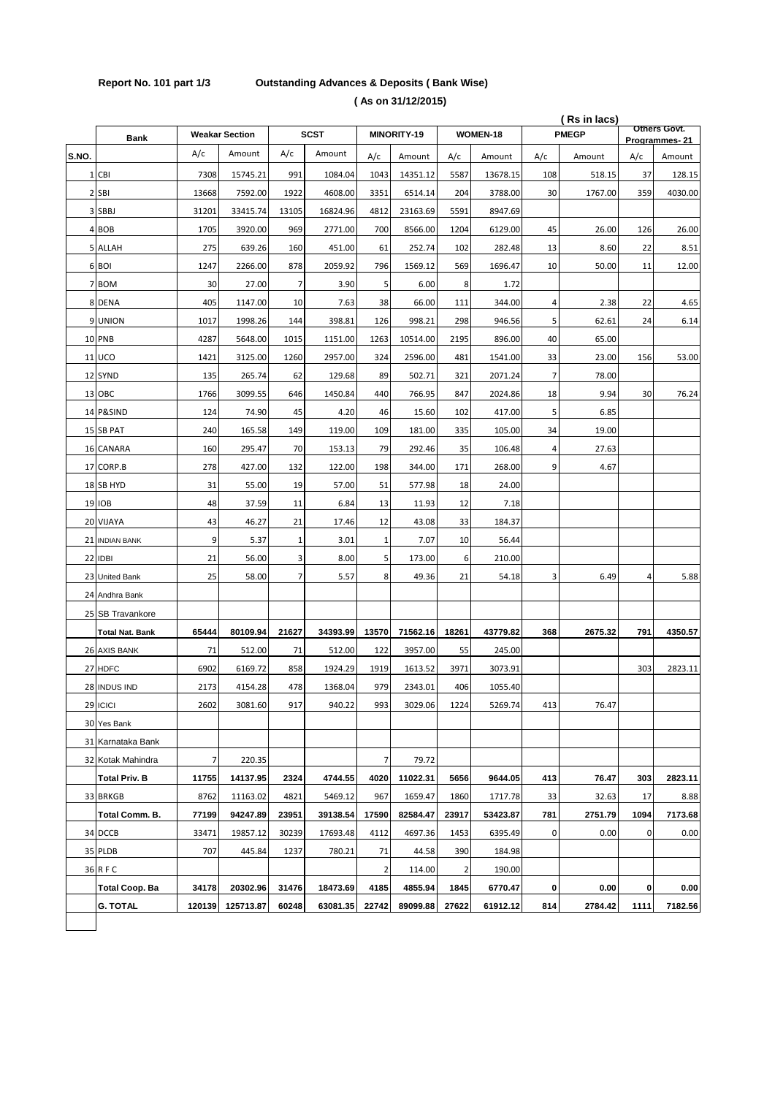## **Report No. 101 part 1/3 Outstanding Advances & Deposits ( Bank Wise) ( As on 31/12/2015)**

|       |                        | (Rs in lacs) |                       |       |             |       |             |                | Others Govt. |                |         |               |         |
|-------|------------------------|--------------|-----------------------|-------|-------------|-------|-------------|----------------|--------------|----------------|---------|---------------|---------|
|       | <b>Bank</b>            |              | <b>Weakar Section</b> |       | <b>SCST</b> |       | MINORITY-19 |                | WOMEN-18     | <b>PMEGP</b>   |         | Programmes-21 |         |
| S.NO. |                        | A/c          | Amount                | A/c   | Amount      | A/c   | Amount      | A/c            | Amount       | A/c            | Amount  | A/c           | Amount  |
|       | 1 CBI                  | 7308         | 15745.21              | 991   | 1084.04     | 1043  | 14351.12    | 5587           | 13678.15     | 108            | 518.15  | 37            | 128.15  |
|       | 2 SBI                  | 13668        | 7592.00               | 1922  | 4608.00     | 3351  | 6514.14     | 204            | 3788.00      | 30             | 1767.00 | 359           | 4030.00 |
|       | 3 SBBJ                 | 31201        | 33415.74              | 13105 | 16824.96    | 4812  | 23163.69    | 5591           | 8947.69      |                |         |               |         |
|       | 4 BOB                  | 1705         | 3920.00               | 969   | 2771.00     | 700   | 8566.00     | 1204           | 6129.00      | 45             | 26.00   | 126           | 26.00   |
|       | 5 ALLAH                | 275          | 639.26                | 160   | 451.00      | 61    | 252.74      | 102            | 282.48       | 13             | 8.60    | 22            | 8.51    |
|       | 6 BOI                  | 1247         | 2266.00               | 878   | 2059.92     | 796   | 1569.12     | 569            | 1696.47      | 10             | 50.00   | 11            | 12.00   |
|       | 7 BOM                  | 30           | 27.00                 | 7     | 3.90        | 5     | 6.00        | 8              | 1.72         |                |         |               |         |
|       | 8 DENA                 | 405          | 1147.00               | 10    | 7.63        | 38    | 66.00       | 111            | 344.00       | 4              | 2.38    | 22            | 4.65    |
|       | 9 UNION                | 1017         | 1998.26               | 144   | 398.81      | 126   | 998.21      | 298            | 946.56       | 5              | 62.61   | 24            | 6.14    |
|       | 10 PNB                 | 4287         | 5648.00               | 1015  | 1151.00     | 1263  | 10514.00    | 2195           | 896.00       | 40             | 65.00   |               |         |
|       | <b>11 UCO</b>          | 1421         | 3125.00               | 1260  | 2957.00     | 324   | 2596.00     | 481            | 1541.00      | 33             | 23.00   | 156           | 53.00   |
|       | 12 SYND                | 135          | 265.74                | 62    | 129.68      | 89    | 502.71      | 321            | 2071.24      | $\overline{7}$ | 78.00   |               |         |
|       | 13 OBC                 | 1766         | 3099.55               | 646   | 1450.84     | 440   | 766.95      | 847            | 2024.86      | 18             | 9.94    | 30            | 76.24   |
|       | 14 P&SIND              | 124          | 74.90                 | 45    | 4.20        | 46    | 15.60       | 102            | 417.00       | 5              | 6.85    |               |         |
|       | 15 SB PAT              | 240          | 165.58                | 149   | 119.00      | 109   | 181.00      | 335            | 105.00       | 34             | 19.00   |               |         |
|       | 16 CANARA              | 160          | 295.47                | 70    | 153.13      | 79    | 292.46      | 35             | 106.48       | 4              | 27.63   |               |         |
|       | 17 CORP.B              | 278          | 427.00                | 132   | 122.00      | 198   | 344.00      | 171            | 268.00       | 9              | 4.67    |               |         |
|       | 18 SB HYD              | 31           | 55.00                 | 19    | 57.00       | 51    | 577.98      | 18             | 24.00        |                |         |               |         |
|       | 19 IOB                 | 48           | 37.59                 | 11    | 6.84        | 13    | 11.93       | 12             | 7.18         |                |         |               |         |
|       | 20 VIJAYA              | 43           | 46.27                 | 21    | 17.46       | 12    | 43.08       | 33             | 184.37       |                |         |               |         |
|       | 21 INDIAN BANK         | 9            | 5.37                  | 1     | 3.01        | 1     | 7.07        | 10             | 56.44        |                |         |               |         |
|       | 22 IDBI                | 21           | 56.00                 | 3     | 8.00        | 5     | 173.00      | 6              | 210.00       |                |         |               |         |
|       | 23 United Bank         | 25           | 58.00                 | 7     | 5.57        | 8     | 49.36       | 21             | 54.18        | 3              | 6.49    | 4             | 5.88    |
|       | 24 Andhra Bank         |              |                       |       |             |       |             |                |              |                |         |               |         |
|       | 25 SB Travankore       |              |                       |       |             |       |             |                |              |                |         |               |         |
|       | <b>Total Nat. Bank</b> | 65444        | 80109.94              | 21627 | 34393.99    | 13570 | 71562.16    | 18261          | 43779.82     | 368            | 2675.32 | 791           | 4350.57 |
|       | 26 AXIS BANK           | 71           | 512.00                | 71    | 512.00      | 122   | 3957.00     | 55             | 245.00       |                |         |               |         |
|       | 27 HDFC                | 6902         | 6169.72               | 858   | 1924.29     | 1919  | 1613.52     | 3971           | 3073.91      |                |         | 303           | 2823.11 |
|       | 28 INDUS IND           | 2173         | 4154.28               | 478   | 1368.04     | 979   | 2343.01     | 406            | 1055.40      |                |         |               |         |
|       | 29 ICICI               | 2602         | 3081.60               | 917   | 940.22      | 993   | 3029.06     | 1224           | 5269.74      | 413            | 76.47   |               |         |
|       | 30 Yes Bank            |              |                       |       |             |       |             |                |              |                |         |               |         |
|       | 31 Karnataka Bank      |              |                       |       |             |       |             |                |              |                |         |               |         |
|       | 32 Kotak Mahindra      | 7            | 220.35                |       |             | 7     | 79.72       |                |              |                |         |               |         |
|       | <b>Total Priv. B</b>   | 11755        | 14137.95              | 2324  | 4744.55     | 4020  | 11022.31    | 5656           | 9644.05      | 413            | 76.47   | 303           | 2823.11 |
|       | 33 BRKGB               | 8762         | 11163.02              | 4821  | 5469.12     | 967   | 1659.47     | 1860           | 1717.78      | 33             | 32.63   | 17            | 8.88    |
|       | Total Comm. B.         | 77199        | 94247.89              | 23951 | 39138.54    | 17590 | 82584.47    | 23917          | 53423.87     | 781            | 2751.79 | 1094          | 7173.68 |
|       | 34 DCCB                | 33471        | 19857.12              | 30239 | 17693.48    | 4112  | 4697.36     | 1453           | 6395.49      | 0              | 0.00    | 0             | 0.00    |
|       | 35 PLDB                | 707          | 445.84                | 1237  | 780.21      | 71    | 44.58       | 390            | 184.98       |                |         |               |         |
|       | 36 R F C               |              |                       |       |             | 2     | 114.00      | $\overline{2}$ | 190.00       |                |         |               |         |
|       | Total Coop. Ba         | 34178        | 20302.96              | 31476 | 18473.69    | 4185  | 4855.94     | 1845           | 6770.47      | 0              | 0.00    | 0             | 0.00    |
|       | <b>G. TOTAL</b>        | 120139       | 125713.87             | 60248 | 63081.35    | 22742 | 89099.88    | 27622          | 61912.12     | 814            | 2784.42 | 1111          | 7182.56 |
|       |                        |              |                       |       |             |       |             |                |              |                |         |               |         |